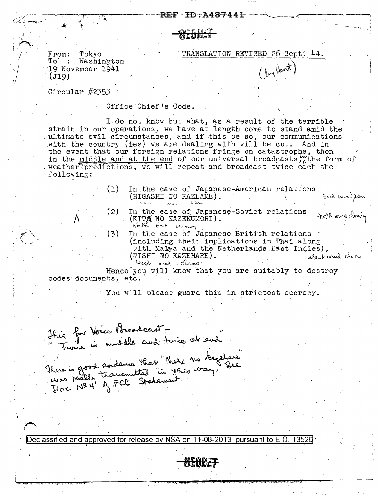**OEQUET** 

From: Tokyo  $\textcolor{red}{\mathbf{To}}\qquad \textcolor{red}{\mathbf{:}}$ Washington 19 November 1941  $(J19)$ 

TRANSLATION REVISED 26 Sept. 44.

 $(\mu, \mu)$ 

Circular  $#2353$ 

Office Chief's Code.

I do not know but what, as a result of the terrible strain in our operations, we have at length come to stand amid the ultimate evil circumstances, and if this be so, our communications with the country (ies) we are dealing with will be cut. And in the event that our foreign relations fringe on catastrophe, then in the middle and at the end of our universal broadcasts, the form of weather predictions, we will repeat and broadcast twice each the following:

- In the case of Japanese-American relations  $(1)$ (HIGASHI NO KAZEAME). Fact wing pain need pain  $\epsilon_1$  and  $\lambda$
- $(2)$ In the case of Japanese-Soviet relations noth und cloudy (KITA NO KAZEKUMORI). north wind cler
- In the case of Japanese-British relations <  $(3)$ (including their implications in Thai along with Malaya and the Netherlands East Indies), (NISHI NO KAZEHARE). we have the West wind clean

Hence you will know that you are suitably to destroy codes documents, etc.

You will please guard this in strictest secrecy.

This for Voice Broadcast -<br>"Turce in middle and time at sud"<br>There is good evidence that "Nuti no teapline"<br>Was peally transmitted in years way. See<br>Doc Nº 4 of FCC Statement.

Declassified and approved for release by NSA on 11-08-2013 pursuant to E.O. 13526